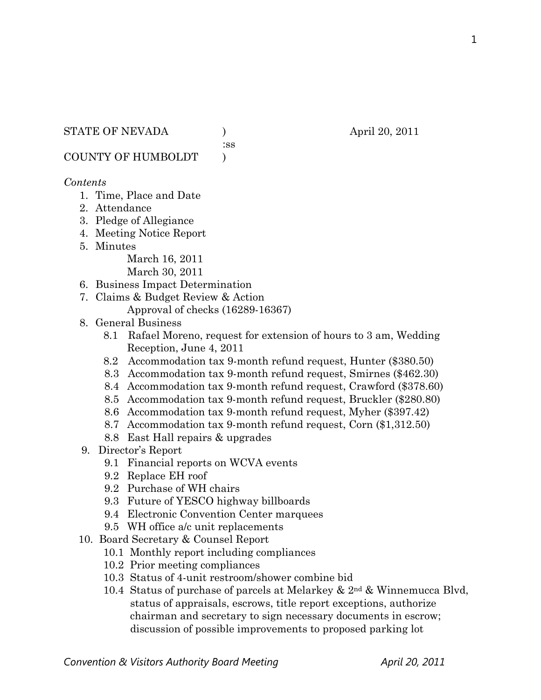:ss

COUNTY OF HUMBOLDT )

### *Contents*

- 1. Time, Place and Date
- 2. Attendance
- 3. Pledge of Allegiance
- 4. Meeting Notice Report
- 5. Minutes

March 16, 2011 March 30, 2011

- 6. Business Impact Determination
- 7. Claims & Budget Review & Action
	- Approval of checks (16289-16367)
- 8. General Business
	- 8.1 Rafael Moreno, request for extension of hours to 3 am, Wedding Reception, June 4, 2011
	- 8.2 Accommodation tax 9-month refund request, Hunter (\$380.50)
	- 8.3 Accommodation tax 9-month refund request, Smirnes (\$462.30)
	- 8.4 Accommodation tax 9-month refund request, Crawford (\$378.60)
	- 8.5 Accommodation tax 9-month refund request, Bruckler (\$280.80)
	- 8.6 Accommodation tax 9-month refund request, Myher (\$397.42)
	- 8.7 Accommodation tax 9-month refund request, Corn (\$1,312.50)
	- 8.8 East Hall repairs & upgrades
- 9. Director's Report
	- 9.1 Financial reports on WCVA events
	- 9.2 Replace EH roof
	- 9.2 Purchase of WH chairs
	- 9.3 Future of YESCO highway billboards
	- 9.4 Electronic Convention Center marquees
	- 9.5 WH office a/c unit replacements
- 10. Board Secretary & Counsel Report
	- 10.1 Monthly report including compliances
	- 10.2 Prior meeting compliances
	- 10.3 Status of 4-unit restroom/shower combine bid
	- 10.4 Status of purchase of parcels at Melarkey & 2nd & Winnemucca Blvd, status of appraisals, escrows, title report exceptions, authorize chairman and secretary to sign necessary documents in escrow; discussion of possible improvements to proposed parking lot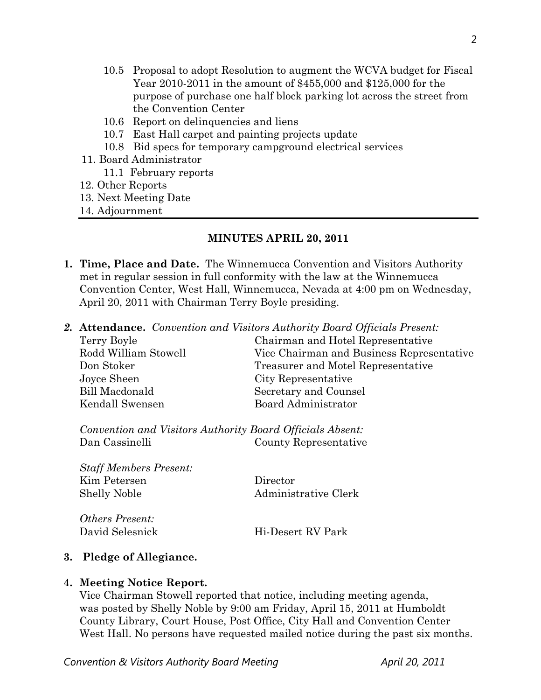- 10.5 Proposal to adopt Resolution to augment the WCVA budget for Fiscal Year 2010-2011 in the amount of \$455,000 and \$125,000 for the purpose of purchase one half block parking lot across the street from the Convention Center
- 10.6 Report on delinquencies and liens
- 10.7 East Hall carpet and painting projects update
- 10.8 Bid specs for temporary campground electrical services
- 11. Board Administrator
	- 11.1 February reports
- 12. Other Reports
- 13. Next Meeting Date
- 14. Adjournment

# **MINUTES APRIL 20, 2011**

- **1. Time, Place and Date.** The Winnemucca Convention and Visitors Authority met in regular session in full conformity with the law at the Winnemucca Convention Center, West Hall, Winnemucca, Nevada at 4:00 pm on Wednesday, April 20, 2011 with Chairman Terry Boyle presiding.
- *2.* **Attendance.** *Convention and Visitors Authority Board Officials Present:*

| Terry Boyle          | Chairman and Hotel Representative         |  |
|----------------------|-------------------------------------------|--|
| Rodd William Stowell | Vice Chairman and Business Representative |  |
| Don Stoker           | Treasurer and Motel Representative        |  |
| Joyce Sheen          | City Representative                       |  |
| Bill Macdonald       | Secretary and Counsel                     |  |
| Kendall Swensen      | Board Administrator                       |  |

*Convention and Visitors Authority Board Officials Absent:*  Dan Cassinelli County Representative

*Staff Members Present:*  Kim Petersen Director Shelly Noble Administrative Clerk

*Others Present:*  David Selesnick Hi-Desert RV Park

# **3. Pledge of Allegiance.**

# **4. Meeting Notice Report.**

Vice Chairman Stowell reported that notice, including meeting agenda, was posted by Shelly Noble by 9:00 am Friday, April 15, 2011 at Humboldt County Library, Court House, Post Office, City Hall and Convention Center West Hall. No persons have requested mailed notice during the past six months.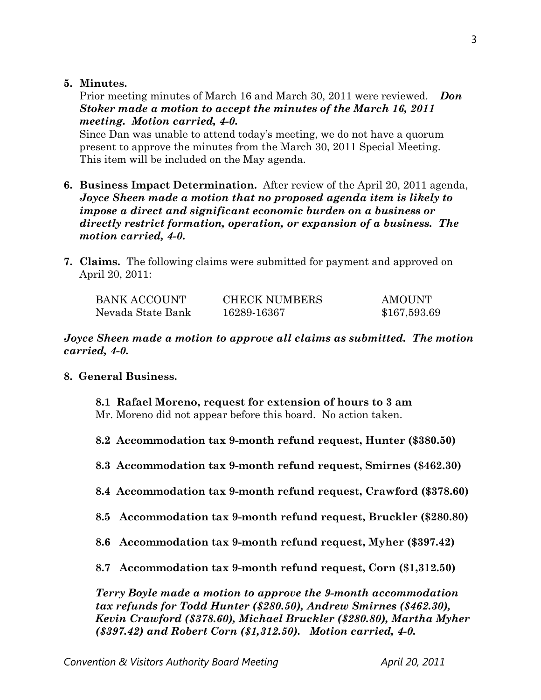### **5. Minutes.**

Prior meeting minutes of March 16 and March 30, 2011 were reviewed. *Don Stoker made a motion to accept the minutes of the March 16, 2011 meeting. Motion carried, 4-0.* 

Since Dan was unable to attend today's meeting, we do not have a quorum present to approve the minutes from the March 30, 2011 Special Meeting. This item will be included on the May agenda.

- **6. Business Impact Determination.** After review of the April 20, 2011 agenda, *Joyce Sheen made a motion that no proposed agenda item is likely to impose a direct and significant economic burden on a business or directly restrict formation, operation, or expansion of a business. The motion carried, 4-0.*
- **7. Claims.** The following claims were submitted for payment and approved on April 20, 2011:

| BANK ACCOUNT      | <b>CHECK NUMBERS</b> | <b>AMOUNT</b> |
|-------------------|----------------------|---------------|
| Nevada State Bank | 16289-16367          | \$167,593.69  |

*Joyce Sheen made a motion to approve all claims as submitted. The motion carried, 4-0.* 

# **8. General Business.**

 **8.1 Rafael Moreno, request for extension of hours to 3 am**  Mr. Moreno did not appear before this board. No action taken.

**8.2 Accommodation tax 9-month refund request, Hunter (\$380.50)** 

- **8.3 Accommodation tax 9-month refund request, Smirnes (\$462.30)**
- **8.4 Accommodation tax 9-month refund request, Crawford (\$378.60)**
- **8.5 Accommodation tax 9-month refund request, Bruckler (\$280.80)**
- **8.6 Accommodation tax 9-month refund request, Myher (\$397.42)**
- **8.7 Accommodation tax 9-month refund request, Corn (\$1,312.50)**

*Terry Boyle made a motion to approve the 9-month accommodation tax refunds for Todd Hunter (\$280.50), Andrew Smirnes (\$462.30), Kevin Crawford (\$378.60), Michael Bruckler (\$280.80), Martha Myher (\$397.42) and Robert Corn (\$1,312.50). Motion carried, 4-0.*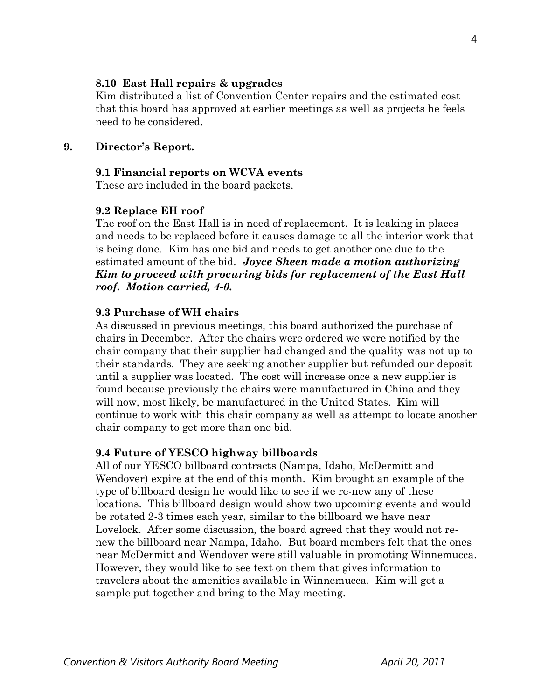### **8.10 East Hall repairs & upgrades**

Kim distributed a list of Convention Center repairs and the estimated cost that this board has approved at earlier meetings as well as projects he feels need to be considered.

### **9. Director's Report.**

#### **9.1 Financial reports on WCVA events**

These are included in the board packets.

#### **9.2 Replace EH roof**

The roof on the East Hall is in need of replacement. It is leaking in places and needs to be replaced before it causes damage to all the interior work that is being done. Kim has one bid and needs to get another one due to the estimated amount of the bid. *Joyce Sheen made a motion authorizing Kim to proceed with procuring bids for replacement of the East Hall roof. Motion carried, 4-0.*

#### **9.3 Purchase of WH chairs**

As discussed in previous meetings, this board authorized the purchase of chairs in December. After the chairs were ordered we were notified by the chair company that their supplier had changed and the quality was not up to their standards. They are seeking another supplier but refunded our deposit until a supplier was located. The cost will increase once a new supplier is found because previously the chairs were manufactured in China and they will now, most likely, be manufactured in the United States. Kim will continue to work with this chair company as well as attempt to locate another chair company to get more than one bid.

#### **9.4 Future of YESCO highway billboards**

All of our YESCO billboard contracts (Nampa, Idaho, McDermitt and Wendover) expire at the end of this month. Kim brought an example of the type of billboard design he would like to see if we re-new any of these locations. This billboard design would show two upcoming events and would be rotated 2-3 times each year, similar to the billboard we have near Lovelock. After some discussion, the board agreed that they would not renew the billboard near Nampa, Idaho. But board members felt that the ones near McDermitt and Wendover were still valuable in promoting Winnemucca. However, they would like to see text on them that gives information to travelers about the amenities available in Winnemucca. Kim will get a sample put together and bring to the May meeting.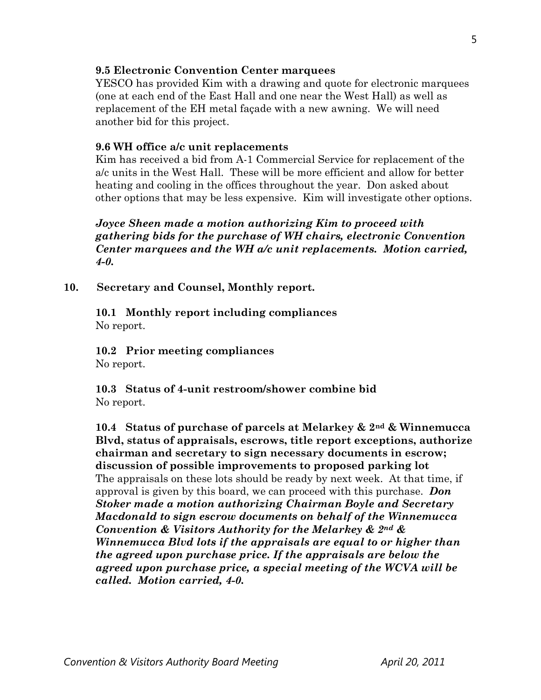### **9.5 Electronic Convention Center marquees**

YESCO has provided Kim with a drawing and quote for electronic marquees (one at each end of the East Hall and one near the West Hall) as well as replacement of the EH metal façade with a new awning. We will need another bid for this project.

### **9.6 WH office a/c unit replacements**

Kim has received a bid from A-1 Commercial Service for replacement of the a/c units in the West Hall. These will be more efficient and allow for better heating and cooling in the offices throughout the year. Don asked about other options that may be less expensive. Kim will investigate other options.

*Joyce Sheen made a motion authorizing Kim to proceed with gathering bids for the purchase of WH chairs, electronic Convention Center marquees and the WH a/c unit replacements. Motion carried, 4-0.* 

**10. Secretary and Counsel, Monthly report.** 

**10.1 Monthly report including compliances**  No report.

 **10.2 Prior meeting compliances**  No report.

 **10.3 Status of 4-unit restroom/shower combine bid**  No report.

**10.4 Status of purchase of parcels at Melarkey & 2nd & Winnemucca Blvd, status of appraisals, escrows, title report exceptions, authorize chairman and secretary to sign necessary documents in escrow; discussion of possible improvements to proposed parking lot** The appraisals on these lots should be ready by next week. At that time, if approval is given by this board, we can proceed with this purchase. *Don Stoker made a motion authorizing Chairman Boyle and Secretary Macdonald to sign escrow documents on behalf of the Winnemucca Convention & Visitors Authority for the Melarkey & 2nd & Winnemucca Blvd lots if the appraisals are equal to or higher than the agreed upon purchase price. If the appraisals are below the agreed upon purchase price, a special meeting of the WCVA will be called. Motion carried, 4-0.*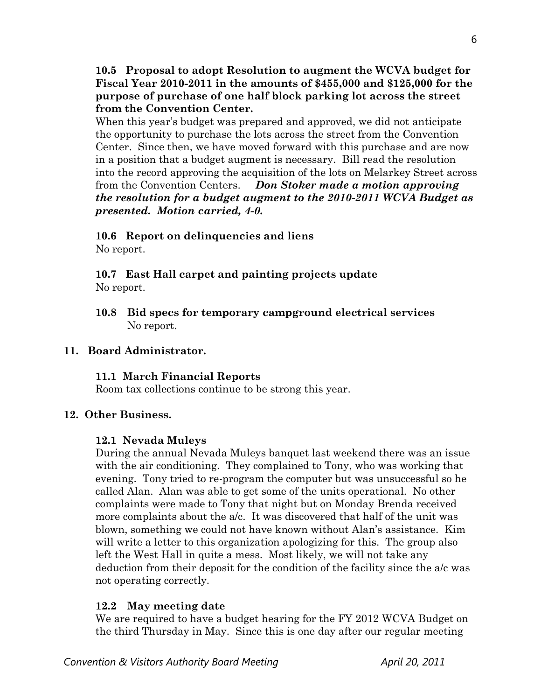**10.5 Proposal to adopt Resolution to augment the WCVA budget for Fiscal Year 2010-2011 in the amounts of \$455,000 and \$125,000 for the purpose of purchase of one half block parking lot across the street from the Convention Center.** 

When this year's budget was prepared and approved, we did not anticipate the opportunity to purchase the lots across the street from the Convention Center. Since then, we have moved forward with this purchase and are now in a position that a budget augment is necessary. Bill read the resolution into the record approving the acquisition of the lots on Melarkey Street across from the Convention Centers. *Don Stoker made a motion approving the resolution for a budget augment to the 2010-2011 WCVA Budget as presented. Motion carried, 4-0.* 

#### **10.6 Report on delinquencies and liens**  No report.

**10.7 East Hall carpet and painting projects update**  No report.

**10.8 Bid specs for temporary campground electrical services**  No report.

# **11. Board Administrator.**

# **11.1 March Financial Reports**

Room tax collections continue to be strong this year.

# **12. Other Business.**

# **12.1 Nevada Muleys**

During the annual Nevada Muleys banquet last weekend there was an issue with the air conditioning. They complained to Tony, who was working that evening. Tony tried to re-program the computer but was unsuccessful so he called Alan. Alan was able to get some of the units operational. No other complaints were made to Tony that night but on Monday Brenda received more complaints about the a/c. It was discovered that half of the unit was blown, something we could not have known without Alan's assistance. Kim will write a letter to this organization apologizing for this. The group also left the West Hall in quite a mess. Most likely, we will not take any deduction from their deposit for the condition of the facility since the a/c was not operating correctly.

# **12.2 May meeting date**

We are required to have a budget hearing for the FY 2012 WCVA Budget on the third Thursday in May. Since this is one day after our regular meeting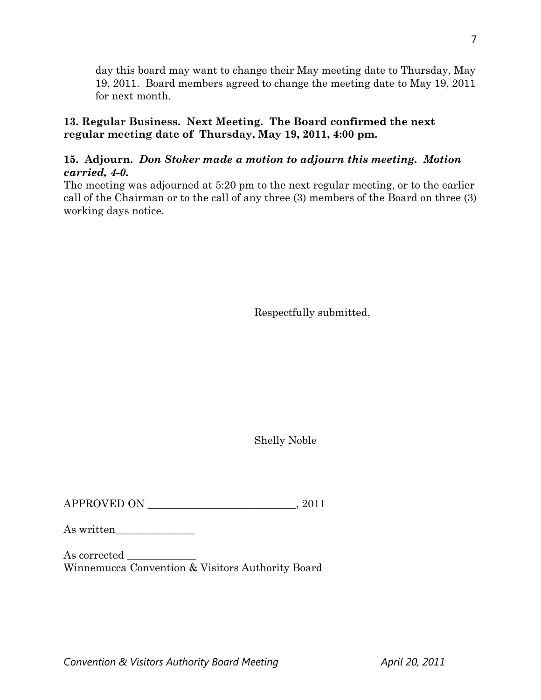day this board may want to change their May meeting date to Thursday, May 19, 2011. Board members agreed to change the meeting date to May 19, 2011 for next month.

## **13. Regular Business. Next Meeting. The Board confirmed the next regular meeting date of Thursday, May 19, 2011, 4:00 pm.**

# **15. Adjourn.** *Don Stoker made a motion to adjourn this meeting. Motion carried, 4-0.*

The meeting was adjourned at 5:20 pm to the next regular meeting, or to the earlier call of the Chairman or to the call of any three (3) members of the Board on three (3) working days notice.

Respectfully submitted,

Shelly Noble

APPROVED ON \_\_\_\_\_\_\_\_\_\_\_\_\_\_\_\_\_\_\_\_\_\_\_\_\_\_\_\_, 2011

As written\_\_\_\_\_\_\_\_\_\_\_\_\_\_\_

As corrected  $\rule{1em}{0.15mm}$ Winnemucca Convention & Visitors Authority Board